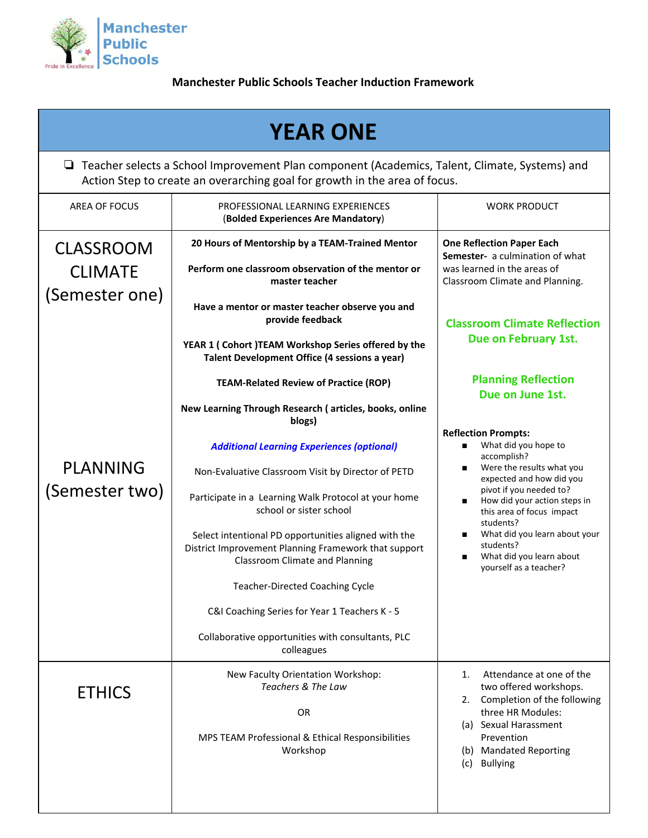

**Manchester Public Schools Teacher Induction Framework**

| <b>YEAR ONE</b>                                                                                                                                                               |                                                                                                                                                                                                                                                                                                                                                                                                                                                                                                                                                                                                                                       |                                                                                                                                                                                                                                                                                                                                                                                       |  |  |
|-------------------------------------------------------------------------------------------------------------------------------------------------------------------------------|---------------------------------------------------------------------------------------------------------------------------------------------------------------------------------------------------------------------------------------------------------------------------------------------------------------------------------------------------------------------------------------------------------------------------------------------------------------------------------------------------------------------------------------------------------------------------------------------------------------------------------------|---------------------------------------------------------------------------------------------------------------------------------------------------------------------------------------------------------------------------------------------------------------------------------------------------------------------------------------------------------------------------------------|--|--|
| □ Teacher selects a School Improvement Plan component (Academics, Talent, Climate, Systems) and<br>Action Step to create an overarching goal for growth in the area of focus. |                                                                                                                                                                                                                                                                                                                                                                                                                                                                                                                                                                                                                                       |                                                                                                                                                                                                                                                                                                                                                                                       |  |  |
| <b>AREA OF FOCUS</b>                                                                                                                                                          | PROFESSIONAL LEARNING EXPERIENCES<br>(Bolded Experiences Are Mandatory)                                                                                                                                                                                                                                                                                                                                                                                                                                                                                                                                                               | <b>WORK PRODUCT</b>                                                                                                                                                                                                                                                                                                                                                                   |  |  |
| <b>CLASSROOM</b><br><b>CLIMATE</b><br>(Semester one)                                                                                                                          | 20 Hours of Mentorship by a TEAM-Trained Mentor<br>Perform one classroom observation of the mentor or<br>master teacher<br>Have a mentor or master teacher observe you and<br>provide feedback<br>YEAR 1 ( Cohort )TEAM Workshop Series offered by the<br>Talent Development Office (4 sessions a year)                                                                                                                                                                                                                                                                                                                               | <b>One Reflection Paper Each</b><br>Semester- a culmination of what<br>was learned in the areas of<br>Classroom Climate and Planning.<br><b>Classroom Climate Reflection</b><br>Due on February 1st.                                                                                                                                                                                  |  |  |
| <b>PLANNING</b><br>(Semester two)                                                                                                                                             | <b>TEAM-Related Review of Practice (ROP)</b><br>New Learning Through Research (articles, books, online<br>blogs)<br><b>Additional Learning Experiences (optional)</b><br>Non-Evaluative Classroom Visit by Director of PETD<br>Participate in a Learning Walk Protocol at your home<br>school or sister school<br>Select intentional PD opportunities aligned with the<br>District Improvement Planning Framework that support<br><b>Classroom Climate and Planning</b><br><b>Teacher-Directed Coaching Cycle</b><br>C&I Coaching Series for Year 1 Teachers K - 5<br>Collaborative opportunities with consultants, PLC<br>colleagues | <b>Planning Reflection</b><br>Due on June 1st.<br><b>Reflection Prompts:</b><br>What did you hope to<br>accomplish?<br>Were the results what you<br>expected and how did you<br>pivot if you needed to?<br>How did your action steps in<br>this area of focus impact<br>students?<br>What did you learn about your<br>students?<br>What did you learn about<br>yourself as a teacher? |  |  |
| <b>ETHICS</b>                                                                                                                                                                 | New Faculty Orientation Workshop:<br>Teachers & The Law<br>OR<br>MPS TEAM Professional & Ethical Responsibilities<br>Workshop                                                                                                                                                                                                                                                                                                                                                                                                                                                                                                         | Attendance at one of the<br>1.<br>two offered workshops.<br>2. Completion of the following<br>three HR Modules:<br>(a) Sexual Harassment<br>Prevention<br>(b) Mandated Reporting<br><b>Bullying</b><br>(c)                                                                                                                                                                            |  |  |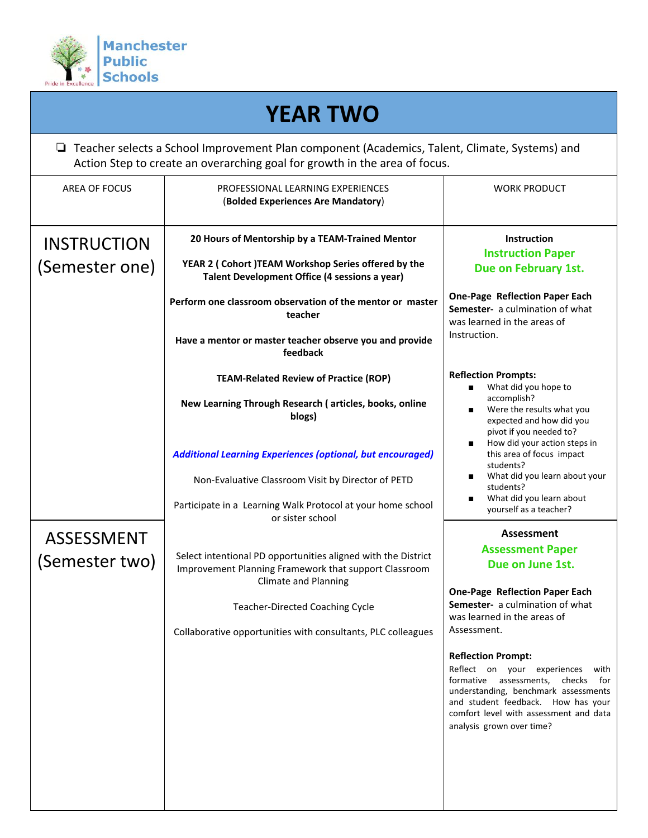

| <b>YEAR TWO</b><br>$\Box$ Teacher selects a School Improvement Plan component (Academics, Talent, Climate, Systems) and<br>Action Step to create an overarching goal for growth in the area of focus. |                                                                                                                                                                                                                      |                                                                                                                                                                                                                                                                           |  |  |
|-------------------------------------------------------------------------------------------------------------------------------------------------------------------------------------------------------|----------------------------------------------------------------------------------------------------------------------------------------------------------------------------------------------------------------------|---------------------------------------------------------------------------------------------------------------------------------------------------------------------------------------------------------------------------------------------------------------------------|--|--|
|                                                                                                                                                                                                       |                                                                                                                                                                                                                      |                                                                                                                                                                                                                                                                           |  |  |
| <b>INSTRUCTION</b><br>(Semester one)                                                                                                                                                                  | 20 Hours of Mentorship by a TEAM-Trained Mentor<br>YEAR 2 ( Cohort )TEAM Workshop Series offered by the<br>Talent Development Office (4 sessions a year)                                                             | <b>Instruction</b><br><b>Instruction Paper</b><br>Due on February 1st.                                                                                                                                                                                                    |  |  |
|                                                                                                                                                                                                       | Perform one classroom observation of the mentor or master<br>teacher                                                                                                                                                 | <b>One-Page Reflection Paper Each</b><br>Semester- a culmination of what<br>was learned in the areas of<br>Instruction.                                                                                                                                                   |  |  |
|                                                                                                                                                                                                       | Have a mentor or master teacher observe you and provide<br>feedback                                                                                                                                                  |                                                                                                                                                                                                                                                                           |  |  |
|                                                                                                                                                                                                       | <b>TEAM-Related Review of Practice (ROP)</b><br>New Learning Through Research (articles, books, online                                                                                                               | <b>Reflection Prompts:</b><br>What did you hope to<br>accomplish?                                                                                                                                                                                                         |  |  |
|                                                                                                                                                                                                       | blogs)<br><b>Additional Learning Experiences (optional, but encouraged)</b><br>Non-Evaluative Classroom Visit by Director of PETD<br>Participate in a Learning Walk Protocol at your home school<br>or sister school | Were the results what you<br>expected and how did you<br>pivot if you needed to?<br>How did your action steps in<br>this area of focus impact<br>students?<br>What did you learn about your<br>students?<br>What did you learn about<br>yourself as a teacher?            |  |  |
| <b>ASSESSMENT</b>                                                                                                                                                                                     |                                                                                                                                                                                                                      | Assessment                                                                                                                                                                                                                                                                |  |  |
| (Semester two)                                                                                                                                                                                        | Select intentional PD opportunities aligned with the District<br>Improvement Planning Framework that support Classroom<br><b>Climate and Planning</b><br><b>Teacher-Directed Coaching Cycle</b>                      | <b>Assessment Paper</b><br>Due on June 1st.<br><b>One-Page Reflection Paper Each</b><br>Semester- a culmination of what<br>was learned in the areas of                                                                                                                    |  |  |
|                                                                                                                                                                                                       | Collaborative opportunities with consultants, PLC colleagues                                                                                                                                                         | Assessment.<br><b>Reflection Prompt:</b><br>Reflect on your experiences<br>with<br>formative assessments, checks for<br>understanding, benchmark assessments<br>and student feedback. How has your<br>comfort level with assessment and data<br>analysis grown over time? |  |  |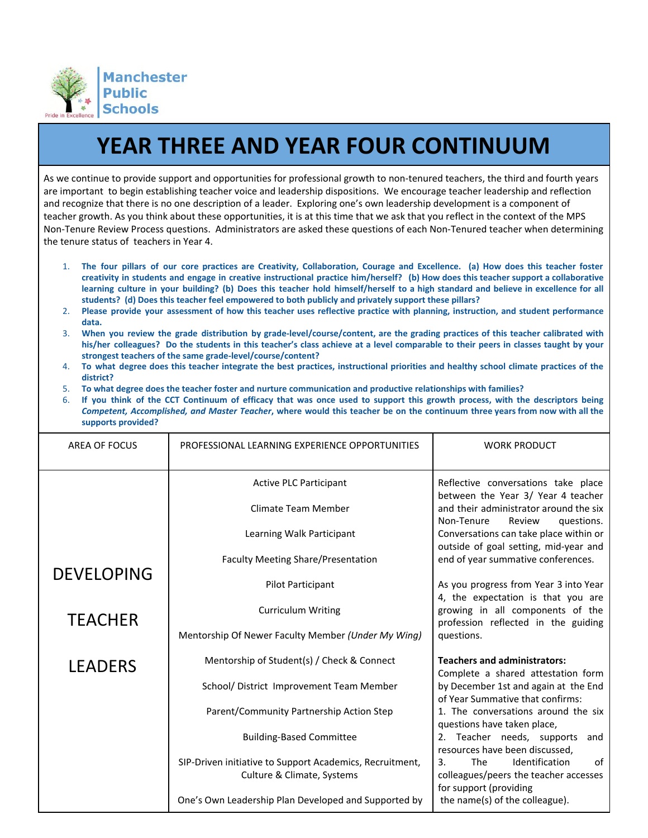

## **YEAR THREE AND YEAR FOUR CONTINUUM**

As we continue to provide support and opportunities for professional growth to non-tenured teachers, the third and fourth years are important to begin establishing teacher voice and leadership dispositions. We encourage teacher leadership and reflection and recognize that there is no one description of a leader. Exploring one's own leadership development is a component of teacher growth. As you think about these opportunities, it is at this time that we ask that you reflect in the context of the MPS Non-Tenure Review Process questions. Administrators are asked these questions of each Non-Tenured teacher when determining the tenure status of teachers in Year 4.

- 1. The four pillars of our core practices are Creativity, Collaboration, Courage and Excellence. (a) How does this teacher foster creativity in students and engage in creative instructional practice him/herself? (b) How does this teacher support a collaborative learning culture in your building? (b) Does this teacher hold himself/herself to a high standard and believe in excellence for all **students? (d) Does this teacher feel empowered to both publicly and privately support these pillars?**
- 2. Please provide your assessment of how this teacher uses reflective practice with planning, instruction, and student performance **data.**
- 3. When you review the grade distribution by grade-level/course/content, are the grading practices of this teacher calibrated with his/her colleagues? Do the students in this teacher's class achieve at a level comparable to their peers in classes taught by your **strongest teachers of the same grade-level/course/content?**
- 4. To what degree does this teacher integrate the best practices, instructional priorities and healthy school climate practices of the **district?**
- 5. **To what degree does the teacher foster and nurture communication and productive relationships with families?**
- 6. If you think of the CCT Continuum of efficacy that was once used to support this growth process, with the descriptors being Competent, Accomplished, and Master Teacher, where would this teacher be on the continuum three years from now with all the **supports provided?**

| AREA OF FOCUS     | PROFESSIONAL LEARNING EXPERIENCE OPPORTUNITIES                                         | <b>WORK PRODUCT</b>                                                                                  |
|-------------------|----------------------------------------------------------------------------------------|------------------------------------------------------------------------------------------------------|
|                   | <b>Active PLC Participant</b>                                                          | Reflective conversations take place<br>between the Year 3/ Year 4 teacher                            |
|                   | Climate Team Member                                                                    | and their administrator around the six<br>Non-Tenure<br>Review<br>questions.                         |
|                   | Learning Walk Participant                                                              | Conversations can take place within or<br>outside of goal setting, mid-year and                      |
| <b>DEVELOPING</b> | <b>Faculty Meeting Share/Presentation</b>                                              | end of year summative conferences.                                                                   |
|                   | Pilot Participant                                                                      | As you progress from Year 3 into Year<br>4, the expectation is that you are                          |
| <b>TEACHER</b>    | <b>Curriculum Writing</b>                                                              | growing in all components of the<br>profession reflected in the guiding                              |
|                   | Mentorship Of Newer Faculty Member (Under My Wing)                                     | questions.                                                                                           |
| <b>LEADERS</b>    | Mentorship of Student(s) / Check & Connect                                             | <b>Teachers and administrators:</b><br>Complete a shared attestation form                            |
|                   | School/ District Improvement Team Member                                               | by December 1st and again at the End<br>of Year Summative that confirms:                             |
|                   | Parent/Community Partnership Action Step                                               | 1. The conversations around the six<br>questions have taken place,                                   |
|                   | <b>Building-Based Committee</b>                                                        | Teacher needs, supports<br>2.<br>and<br>resources have been discussed,                               |
|                   | SIP-Driven initiative to Support Academics, Recruitment,<br>Culture & Climate, Systems | Identification<br>The<br>of<br>3.<br>colleagues/peers the teacher accesses<br>for support (providing |
|                   | One's Own Leadership Plan Developed and Supported by                                   | the name(s) of the colleague).                                                                       |